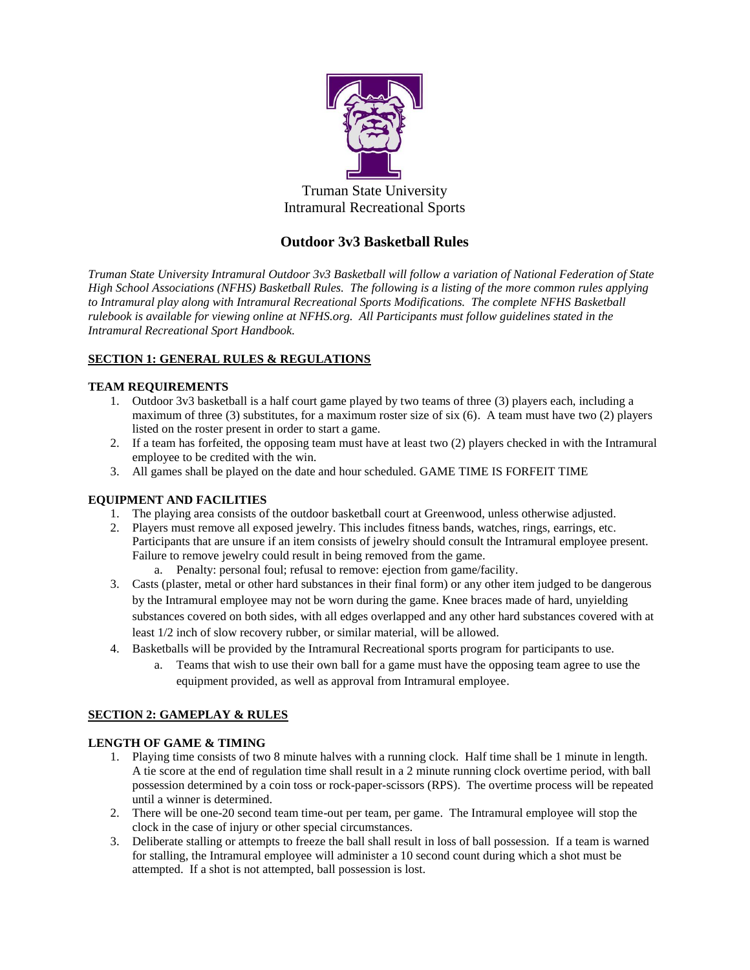

Truman State University Intramural Recreational Sports

# **Outdoor 3v3 Basketball Rules**

*Truman State University Intramural Outdoor 3v3 Basketball will follow a variation of National Federation of State High School Associations (NFHS) Basketball Rules. The following is a listing of the more common rules applying to Intramural play along with Intramural Recreational Sports Modifications. The complete NFHS Basketball rulebook is available for viewing online at NFHS.org. All Participants must follow guidelines stated in the Intramural Recreational Sport Handbook.*

## **SECTION 1: GENERAL RULES & REGULATIONS**

## **TEAM REQUIREMENTS**

- 1. Outdoor 3v3 basketball is a half court game played by two teams of three (3) players each, including a maximum of three (3) substitutes, for a maximum roster size of six (6). A team must have two (2) players listed on the roster present in order to start a game.
- 2. If a team has forfeited, the opposing team must have at least two (2) players checked in with the Intramural employee to be credited with the win.
- 3. All games shall be played on the date and hour scheduled. GAME TIME IS FORFEIT TIME

## **EQUIPMENT AND FACILITIES**

- 1. The playing area consists of the outdoor basketball court at Greenwood, unless otherwise adjusted.
- 2. Players must remove all exposed jewelry. This includes fitness bands, watches, rings, earrings, etc. Participants that are unsure if an item consists of jewelry should consult the Intramural employee present. Failure to remove jewelry could result in being removed from the game.
	- a. Penalty: personal foul; refusal to remove: ejection from game/facility.
- 3. Casts (plaster, metal or other hard substances in their final form) or any other item judged to be dangerous by the Intramural employee may not be worn during the game. Knee braces made of hard, unyielding substances covered on both sides, with all edges overlapped and any other hard substances covered with at least 1/2 inch of slow recovery rubber, or similar material, will be allowed.
- 4. Basketballs will be provided by the Intramural Recreational sports program for participants to use.
	- a. Teams that wish to use their own ball for a game must have the opposing team agree to use the equipment provided, as well as approval from Intramural employee.

### **SECTION 2: GAMEPLAY & RULES**

### **LENGTH OF GAME & TIMING**

- 1. Playing time consists of two 8 minute halves with a running clock. Half time shall be 1 minute in length. A tie score at the end of regulation time shall result in a 2 minute running clock overtime period, with ball possession determined by a coin toss or rock-paper-scissors (RPS). The overtime process will be repeated until a winner is determined.
- 2. There will be one-20 second team time-out per team, per game. The Intramural employee will stop the clock in the case of injury or other special circumstances.
- 3. Deliberate stalling or attempts to freeze the ball shall result in loss of ball possession. If a team is warned for stalling, the Intramural employee will administer a 10 second count during which a shot must be attempted. If a shot is not attempted, ball possession is lost.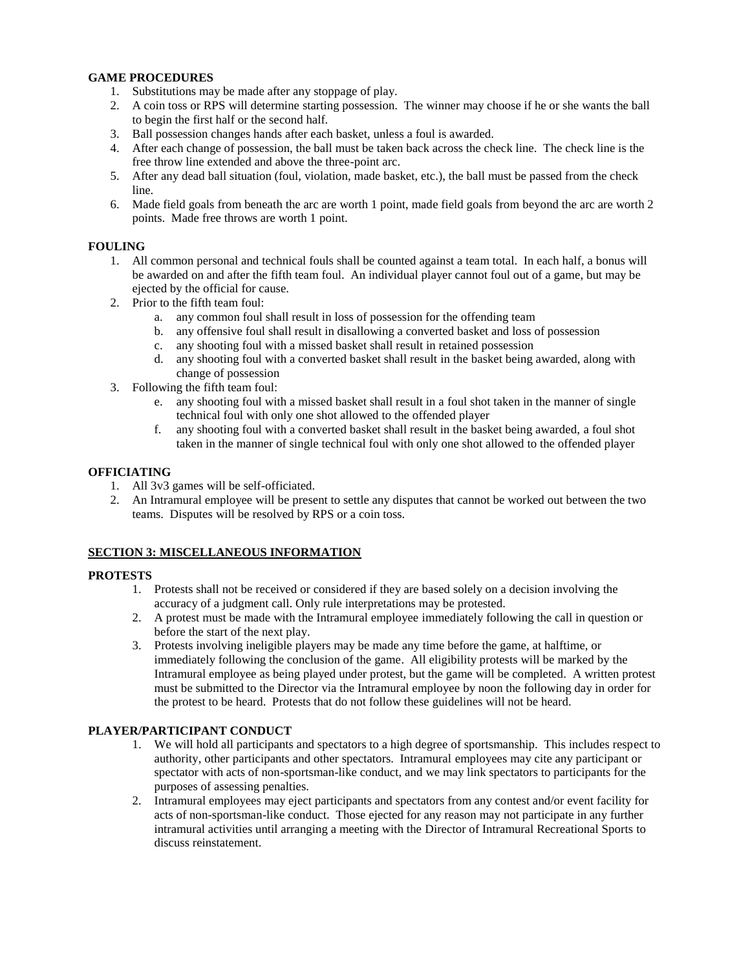### **GAME PROCEDURES**

- 1. Substitutions may be made after any stoppage of play.
- 2. A coin toss or RPS will determine starting possession. The winner may choose if he or she wants the ball to begin the first half or the second half.
- 3. Ball possession changes hands after each basket, unless a foul is awarded.
- 4. After each change of possession, the ball must be taken back across the check line. The check line is the free throw line extended and above the three-point arc.
- 5. After any dead ball situation (foul, violation, made basket, etc.), the ball must be passed from the check line.
- 6. Made field goals from beneath the arc are worth 1 point, made field goals from beyond the arc are worth 2 points. Made free throws are worth 1 point.

### **FOULING**

- 1. All common personal and technical fouls shall be counted against a team total. In each half, a bonus will be awarded on and after the fifth team foul. An individual player cannot foul out of a game, but may be ejected by the official for cause.
- 2. Prior to the fifth team foul:
	- a. any common foul shall result in loss of possession for the offending team
	- b. any offensive foul shall result in disallowing a converted basket and loss of possession
	- c. any shooting foul with a missed basket shall result in retained possession
	- d. any shooting foul with a converted basket shall result in the basket being awarded, along with change of possession
- 3. Following the fifth team foul:
	- e. any shooting foul with a missed basket shall result in a foul shot taken in the manner of single technical foul with only one shot allowed to the offended player
	- f. any shooting foul with a converted basket shall result in the basket being awarded, a foul shot taken in the manner of single technical foul with only one shot allowed to the offended player

#### **OFFICIATING**

- 1. All 3v3 games will be self-officiated.
- 2. An Intramural employee will be present to settle any disputes that cannot be worked out between the two teams. Disputes will be resolved by RPS or a coin toss.

### **SECTION 3: MISCELLANEOUS INFORMATION**

#### **PROTESTS**

- 1. Protests shall not be received or considered if they are based solely on a decision involving the accuracy of a judgment call. Only rule interpretations may be protested.
- 2. A protest must be made with the Intramural employee immediately following the call in question or before the start of the next play.
- 3. Protests involving ineligible players may be made any time before the game, at halftime, or immediately following the conclusion of the game. All eligibility protests will be marked by the Intramural employee as being played under protest, but the game will be completed. A written protest must be submitted to the Director via the Intramural employee by noon the following day in order for the protest to be heard. Protests that do not follow these guidelines will not be heard.

### **PLAYER/PARTICIPANT CONDUCT**

- 1. We will hold all participants and spectators to a high degree of sportsmanship. This includes respect to authority, other participants and other spectators. Intramural employees may cite any participant or spectator with acts of non-sportsman-like conduct, and we may link spectators to participants for the purposes of assessing penalties.
- 2. Intramural employees may eject participants and spectators from any contest and/or event facility for acts of non-sportsman-like conduct. Those ejected for any reason may not participate in any further intramural activities until arranging a meeting with the Director of Intramural Recreational Sports to discuss reinstatement.